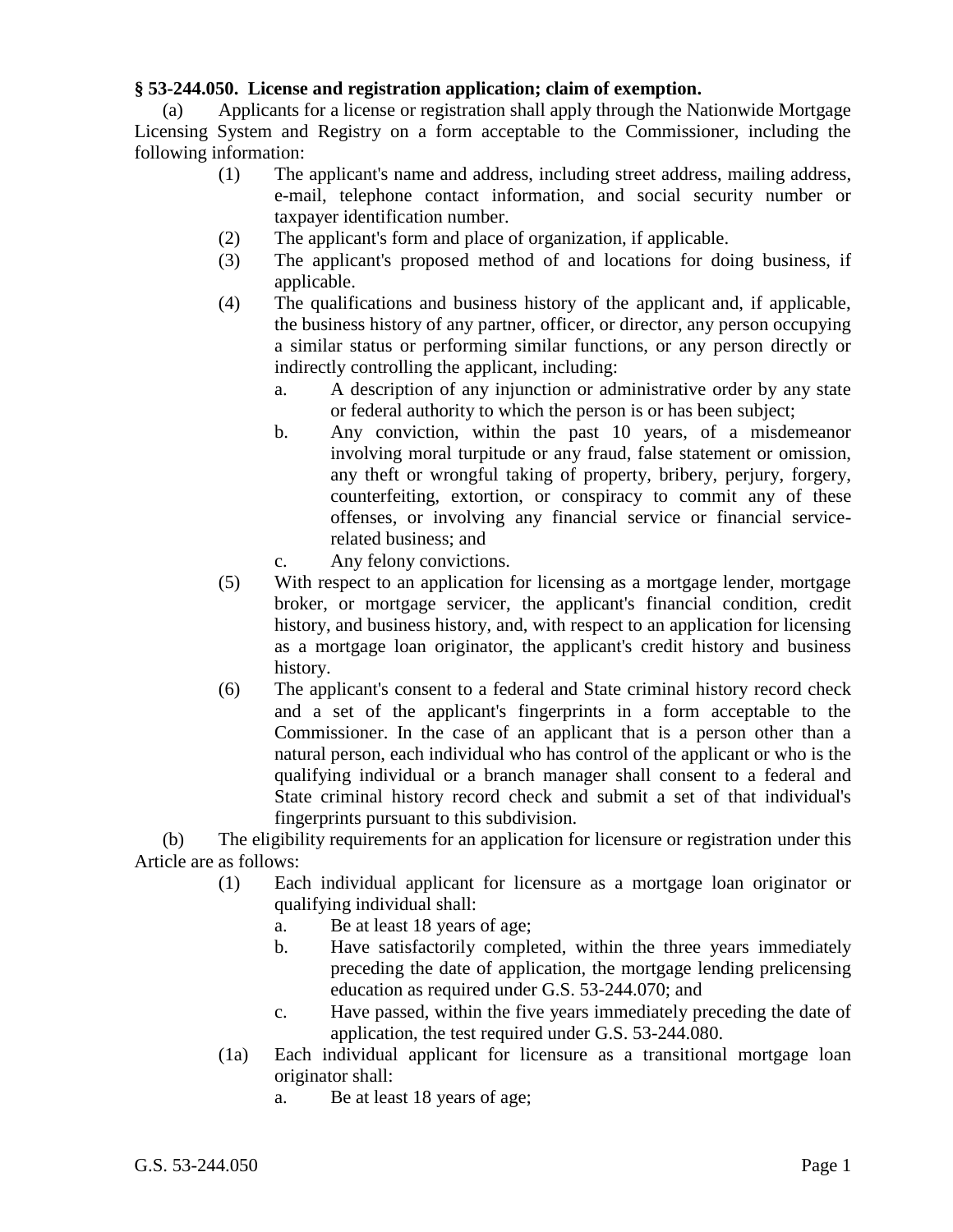## **§ 53-244.050. License and registration application; claim of exemption.**

(a) Applicants for a license or registration shall apply through the Nationwide Mortgage Licensing System and Registry on a form acceptable to the Commissioner, including the following information:

- (1) The applicant's name and address, including street address, mailing address, e-mail, telephone contact information, and social security number or taxpayer identification number.
- (2) The applicant's form and place of organization, if applicable.
- (3) The applicant's proposed method of and locations for doing business, if applicable.
- (4) The qualifications and business history of the applicant and, if applicable, the business history of any partner, officer, or director, any person occupying a similar status or performing similar functions, or any person directly or indirectly controlling the applicant, including:
	- a. A description of any injunction or administrative order by any state or federal authority to which the person is or has been subject;
	- b. Any conviction, within the past 10 years, of a misdemeanor involving moral turpitude or any fraud, false statement or omission, any theft or wrongful taking of property, bribery, perjury, forgery, counterfeiting, extortion, or conspiracy to commit any of these offenses, or involving any financial service or financial servicerelated business; and
	- c. Any felony convictions.
- (5) With respect to an application for licensing as a mortgage lender, mortgage broker, or mortgage servicer, the applicant's financial condition, credit history, and business history, and, with respect to an application for licensing as a mortgage loan originator, the applicant's credit history and business history.
- (6) The applicant's consent to a federal and State criminal history record check and a set of the applicant's fingerprints in a form acceptable to the Commissioner. In the case of an applicant that is a person other than a natural person, each individual who has control of the applicant or who is the qualifying individual or a branch manager shall consent to a federal and State criminal history record check and submit a set of that individual's fingerprints pursuant to this subdivision.

(b) The eligibility requirements for an application for licensure or registration under this Article are as follows:

- (1) Each individual applicant for licensure as a mortgage loan originator or qualifying individual shall:
	- a. Be at least 18 years of age;
	- b. Have satisfactorily completed, within the three years immediately preceding the date of application, the mortgage lending prelicensing education as required under G.S. 53-244.070; and
	- c. Have passed, within the five years immediately preceding the date of application, the test required under G.S. 53-244.080.
- (1a) Each individual applicant for licensure as a transitional mortgage loan originator shall:
	- a. Be at least 18 years of age;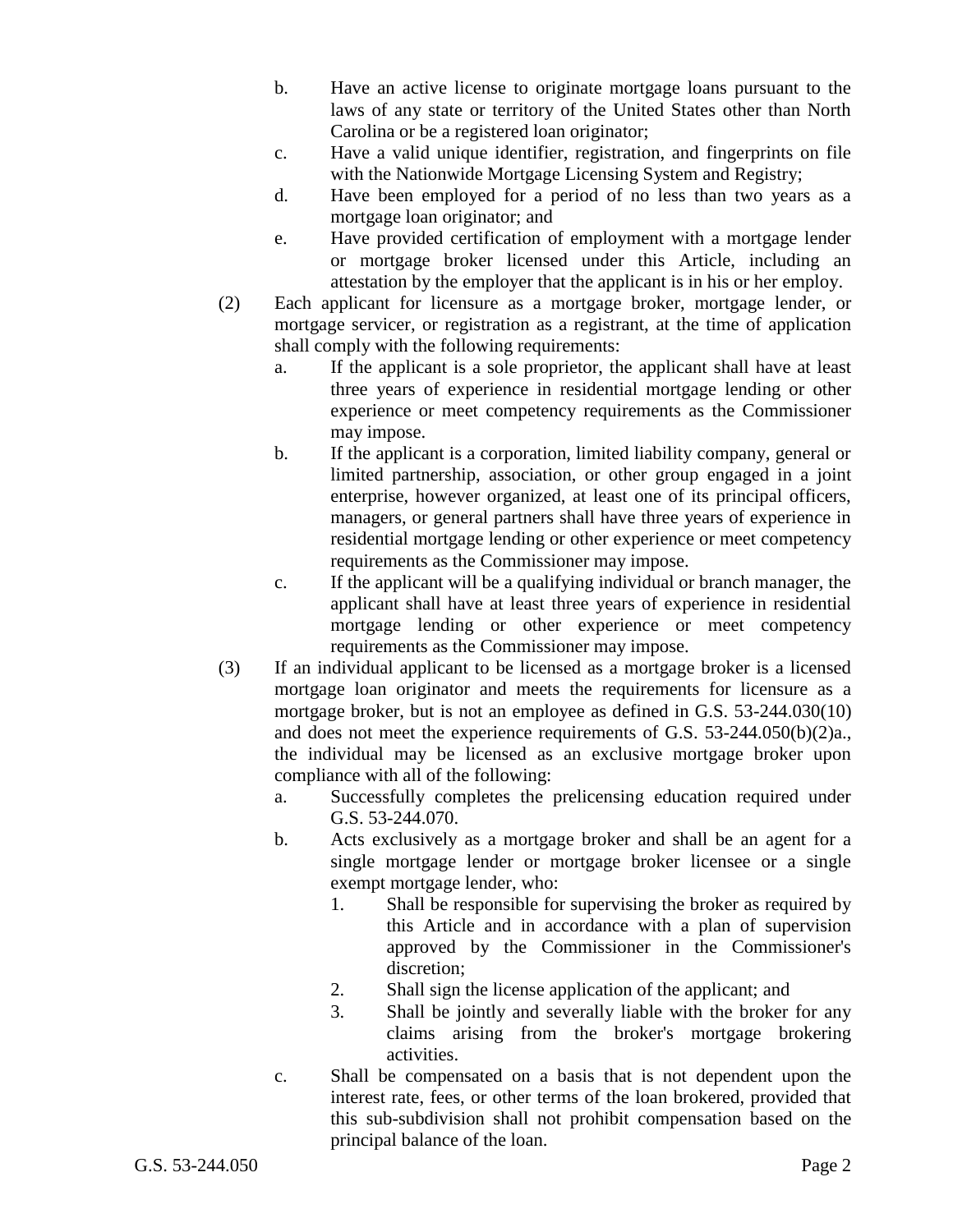- b. Have an active license to originate mortgage loans pursuant to the laws of any state or territory of the United States other than North Carolina or be a registered loan originator;
- c. Have a valid unique identifier, registration, and fingerprints on file with the Nationwide Mortgage Licensing System and Registry;
- d. Have been employed for a period of no less than two years as a mortgage loan originator; and
- e. Have provided certification of employment with a mortgage lender or mortgage broker licensed under this Article, including an attestation by the employer that the applicant is in his or her employ.
- (2) Each applicant for licensure as a mortgage broker, mortgage lender, or mortgage servicer, or registration as a registrant, at the time of application shall comply with the following requirements:
	- a. If the applicant is a sole proprietor, the applicant shall have at least three years of experience in residential mortgage lending or other experience or meet competency requirements as the Commissioner may impose.
	- b. If the applicant is a corporation, limited liability company, general or limited partnership, association, or other group engaged in a joint enterprise, however organized, at least one of its principal officers, managers, or general partners shall have three years of experience in residential mortgage lending or other experience or meet competency requirements as the Commissioner may impose.
	- c. If the applicant will be a qualifying individual or branch manager, the applicant shall have at least three years of experience in residential mortgage lending or other experience or meet competency requirements as the Commissioner may impose.
- (3) If an individual applicant to be licensed as a mortgage broker is a licensed mortgage loan originator and meets the requirements for licensure as a mortgage broker, but is not an employee as defined in G.S. 53-244.030(10) and does not meet the experience requirements of G.S. 53-244.050(b)(2)a., the individual may be licensed as an exclusive mortgage broker upon compliance with all of the following:
	- a. Successfully completes the prelicensing education required under G.S. 53-244.070.
	- b. Acts exclusively as a mortgage broker and shall be an agent for a single mortgage lender or mortgage broker licensee or a single exempt mortgage lender, who:
		- 1. Shall be responsible for supervising the broker as required by this Article and in accordance with a plan of supervision approved by the Commissioner in the Commissioner's discretion;
		- 2. Shall sign the license application of the applicant; and
		- 3. Shall be jointly and severally liable with the broker for any claims arising from the broker's mortgage brokering activities.
	- c. Shall be compensated on a basis that is not dependent upon the interest rate, fees, or other terms of the loan brokered, provided that this sub-subdivision shall not prohibit compensation based on the principal balance of the loan.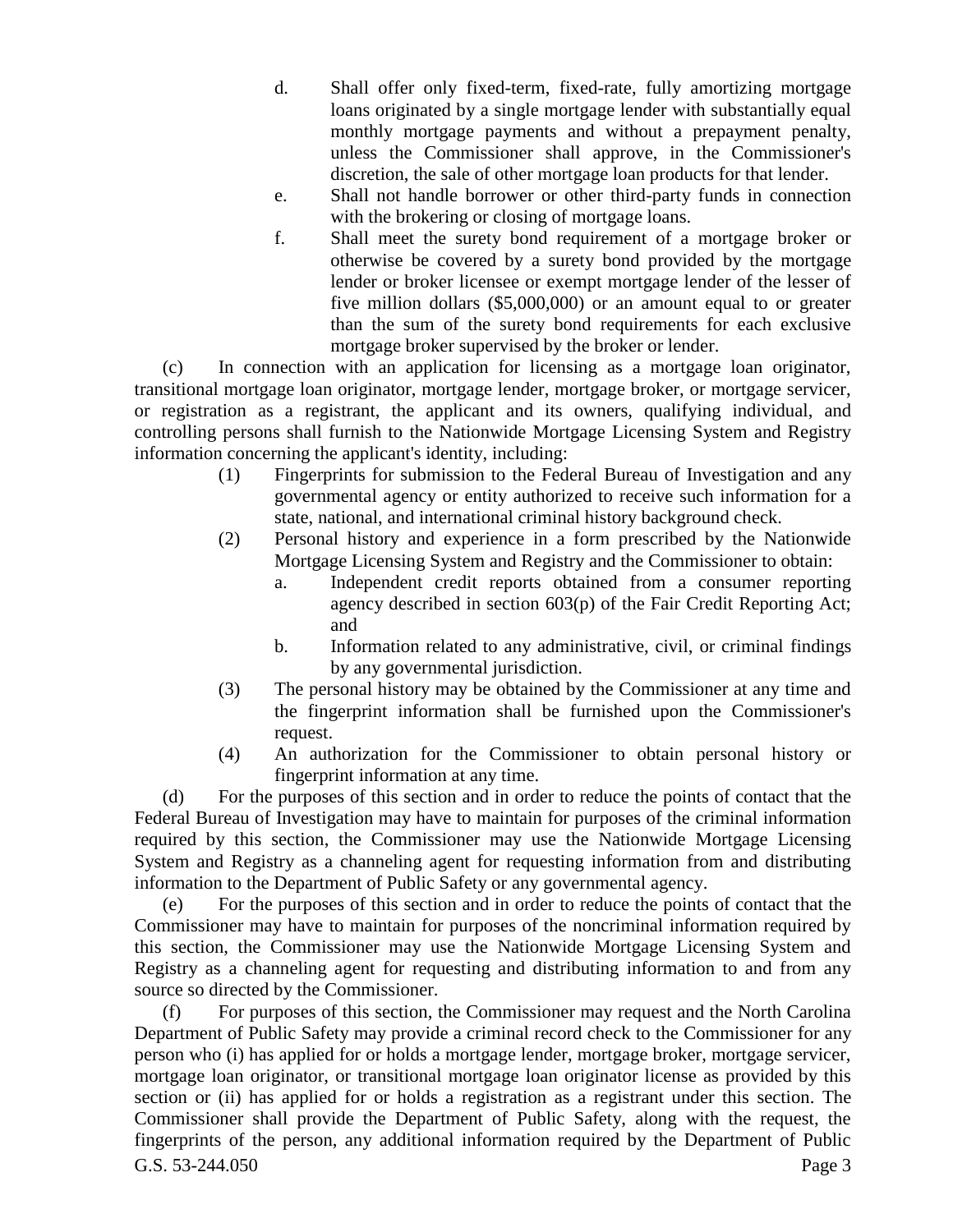- d. Shall offer only fixed-term, fixed-rate, fully amortizing mortgage loans originated by a single mortgage lender with substantially equal monthly mortgage payments and without a prepayment penalty, unless the Commissioner shall approve, in the Commissioner's discretion, the sale of other mortgage loan products for that lender.
- e. Shall not handle borrower or other third-party funds in connection with the brokering or closing of mortgage loans.
- f. Shall meet the surety bond requirement of a mortgage broker or otherwise be covered by a surety bond provided by the mortgage lender or broker licensee or exempt mortgage lender of the lesser of five million dollars (\$5,000,000) or an amount equal to or greater than the sum of the surety bond requirements for each exclusive mortgage broker supervised by the broker or lender.

(c) In connection with an application for licensing as a mortgage loan originator, transitional mortgage loan originator, mortgage lender, mortgage broker, or mortgage servicer, or registration as a registrant, the applicant and its owners, qualifying individual, and controlling persons shall furnish to the Nationwide Mortgage Licensing System and Registry information concerning the applicant's identity, including:

- (1) Fingerprints for submission to the Federal Bureau of Investigation and any governmental agency or entity authorized to receive such information for a state, national, and international criminal history background check.
- (2) Personal history and experience in a form prescribed by the Nationwide Mortgage Licensing System and Registry and the Commissioner to obtain:
	- a. Independent credit reports obtained from a consumer reporting agency described in section 603(p) of the Fair Credit Reporting Act; and
	- b. Information related to any administrative, civil, or criminal findings by any governmental jurisdiction.
- (3) The personal history may be obtained by the Commissioner at any time and the fingerprint information shall be furnished upon the Commissioner's request.
- (4) An authorization for the Commissioner to obtain personal history or fingerprint information at any time.

(d) For the purposes of this section and in order to reduce the points of contact that the Federal Bureau of Investigation may have to maintain for purposes of the criminal information required by this section, the Commissioner may use the Nationwide Mortgage Licensing System and Registry as a channeling agent for requesting information from and distributing information to the Department of Public Safety or any governmental agency.

(e) For the purposes of this section and in order to reduce the points of contact that the Commissioner may have to maintain for purposes of the noncriminal information required by this section, the Commissioner may use the Nationwide Mortgage Licensing System and Registry as a channeling agent for requesting and distributing information to and from any source so directed by the Commissioner.

G.S. 53-244.050 Page 3 (f) For purposes of this section, the Commissioner may request and the North Carolina Department of Public Safety may provide a criminal record check to the Commissioner for any person who (i) has applied for or holds a mortgage lender, mortgage broker, mortgage servicer, mortgage loan originator, or transitional mortgage loan originator license as provided by this section or (ii) has applied for or holds a registration as a registrant under this section. The Commissioner shall provide the Department of Public Safety, along with the request, the fingerprints of the person, any additional information required by the Department of Public